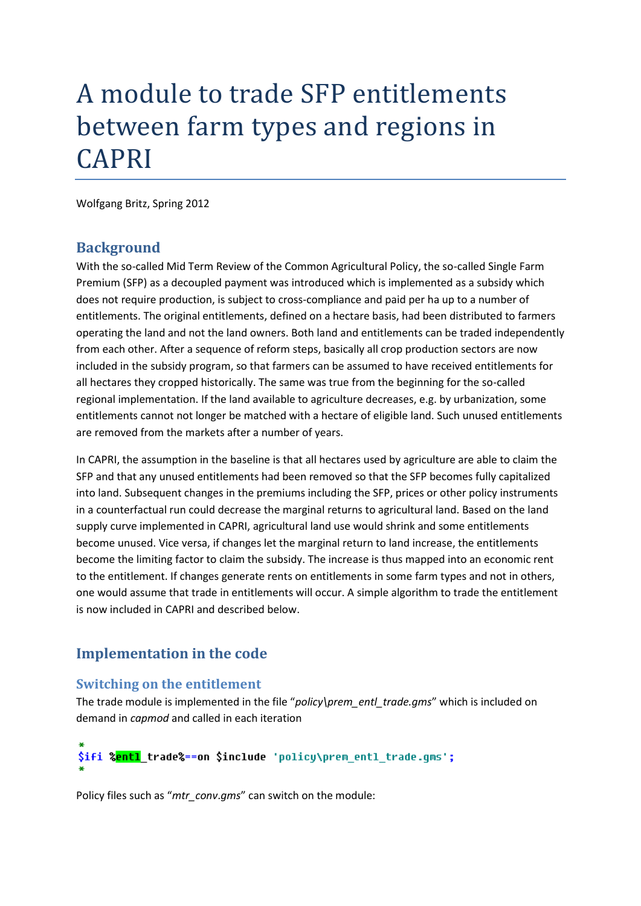# A module to trade SFP entitlements between farm types and regions in CAPRI

Wolfgang Britz, Spring 2012

## **Background**

With the so-called Mid Term Review of the Common Agricultural Policy, the so-called Single Farm Premium (SFP) as a decoupled payment was introduced which is implemented as a subsidy which does not require production, is subject to cross-compliance and paid per ha up to a number of entitlements. The original entitlements, defined on a hectare basis, had been distributed to farmers operating the land and not the land owners. Both land and entitlements can be traded independently from each other. After a sequence of reform steps, basically all crop production sectors are now included in the subsidy program, so that farmers can be assumed to have received entitlements for all hectares they cropped historically. The same was true from the beginning for the so-called regional implementation. If the land available to agriculture decreases, e.g. by urbanization, some entitlements cannot not longer be matched with a hectare of eligible land. Such unused entitlements are removed from the markets after a number of years.

In CAPRI, the assumption in the baseline is that all hectares used by agriculture are able to claim the SFP and that any unused entitlements had been removed so that the SFP becomes fully capitalized into land. Subsequent changes in the premiums including the SFP, prices or other policy instruments in a counterfactual run could decrease the marginal returns to agricultural land. Based on the land supply curve implemented in CAPRI, agricultural land use would shrink and some entitlements become unused. Vice versa, if changes let the marginal return to land increase, the entitlements become the limiting factor to claim the subsidy. The increase is thus mapped into an economic rent to the entitlement. If changes generate rents on entitlements in some farm types and not in others, one would assume that trade in entitlements will occur. A simple algorithm to trade the entitlement is now included in CAPRI and described below.

# **Implementation in the code**

## **Switching on the entitlement**

The trade module is implemented in the file "*policy\prem\_entl\_trade.gms*" which is included on demand in *capmod* and called in each iteration

# \$ifi %<mark>entl</mark> trade%==on \$include 'policy\prem\_entl\_trade.gms';

Policy files such as "*mtr\_conv*.*gms*" can switch on the module: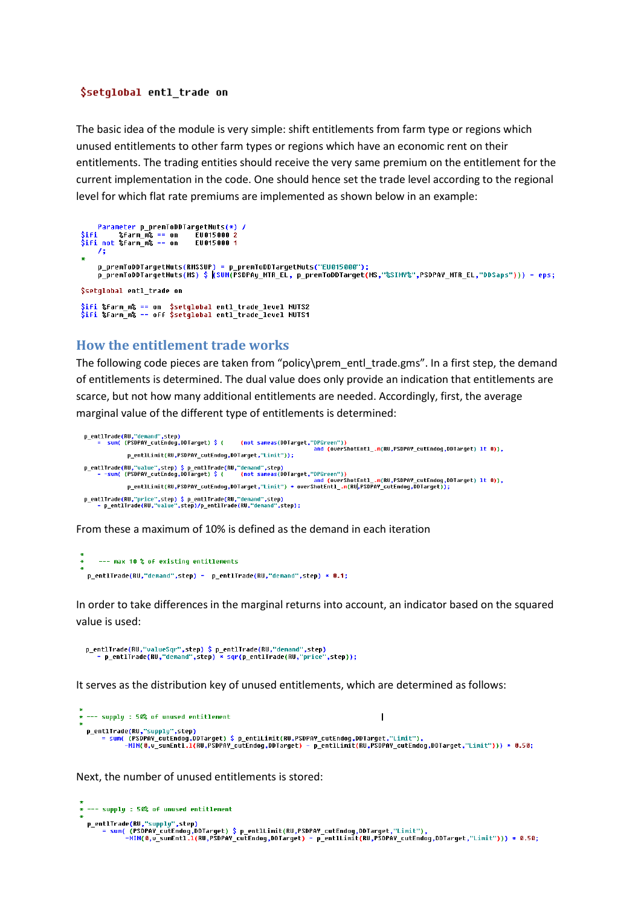#### \$setglobal entl trade on

The basic idea of the module is very simple: shift entitlements from farm type or regions which unused entitlements to other farm types or regions which have an economic rent on their entitlements. The trading entities should receive the very same premium on the entitlement for the current implementation in the code. One should hence set the trade level according to the regional level for which flat rate premiums are implemented as shown below in an example:

```
p_premToDDTargetNuts(RMSSUP) = p_premToDDTargetNuts("EU015000");<br>p_premToDDTargetNuts(MS) $ <mark>(</mark>SUM(PSDPAy_MTR_EL, p_premToDDTarget(MS,"%SIMY%",PSDPAY_MTR_EL,"DDSaps"))) = eps;
$setglobal entl trade on
$ifi %farm_m% == on  $setglobal entl_trade_level NUTS2<br>$ifi %farm_m% == off $setglobal entl_trade_level NUTS1
```
#### **How the entitlement trade works**

The following code pieces are taken from "policy\prem\_entl\_trade.gms". In a first step, the demand of entitlements is determined. The dual value does only provide an indication that entitlements are scarce, but not how many additional entitlements are needed. Accordingly, first, the average marginal value of the different type of entitlements is determined:

```
p_entlTrade(RU,"demand",step)<br>= sum( (PSDPAY_cutEndog,DDTarget) $ (
                                                      (not sameas(DDTarget,"DPGreen"))
                                                                                and CoverShotEnt1 m(RU PSDPAY cutEndon DDTarnet) 1t 0))
               p_entlLimit(RU,PSDPAY_cutEndog,DDTarget,"Limit"));
p_entlTrade(RU,"value",step) $ p_entlTrade(RU,"demand",step)<br>- sum( (PSDPAY_cutEndog,DDTarget) $ (   (not sameas(DDTarget, "DPGreen"))<br>- p_entlLimit(RU,PSDPAY_cutEndog,DDTarget,"Limit") * overShotEntl_.m(RU,PSDPAY_cutEndog
```
From these a maximum of 10% is defined as the demand in each iteration

```
--- max 10 % of existing entitlements
p_entlTrade(RU,"demand",step) = p_entlTrade(RU,"demand",step) * 0.1;
```
In order to take differences in the marginal returns into account, an indicator based on the squared value is used:

It serves as the distribution key of unused entitlements, which are determined as follows:

```
* --- supply : 50% of unused entitlement
                                                                                                                                     \overline{1}p entlTrade(RU,"supply",step
           cirraue(кu, suppiy ,siep)<br>= sum( (PSDPAY_cutEndog,DDTarget) $ p_entlLimit(RU,PSDPAY_cutEndog,DDTarget,"Limit"),<br>-MIN(0,v_sumEntl.l(RU,PSDPAY_cutEndog,DDTarget) - p_entlLimit(RU,PSDPAY_cutEndog,DDTarget,"Limit"))) * 0.50;
```
Next, the number of unused entitlements is stored:

```
* --- supply : 50% of unused entitlement
  p_entlTrade(RU,"supply",step)<br>|- sum( (PSDPAY_cutEndog,DDTarget) $ p_entlLimit(RU,PSDPAY_cutEndog,DDTarget,"Limit"),<br>|-HIN(0,v_sumEntl.l(RU,PSDPAY_cutEndog,DDTarget) - p_entlLimit(RU,PSDPAY_cutEndog,DDTarget,"Limit"))) * 0
```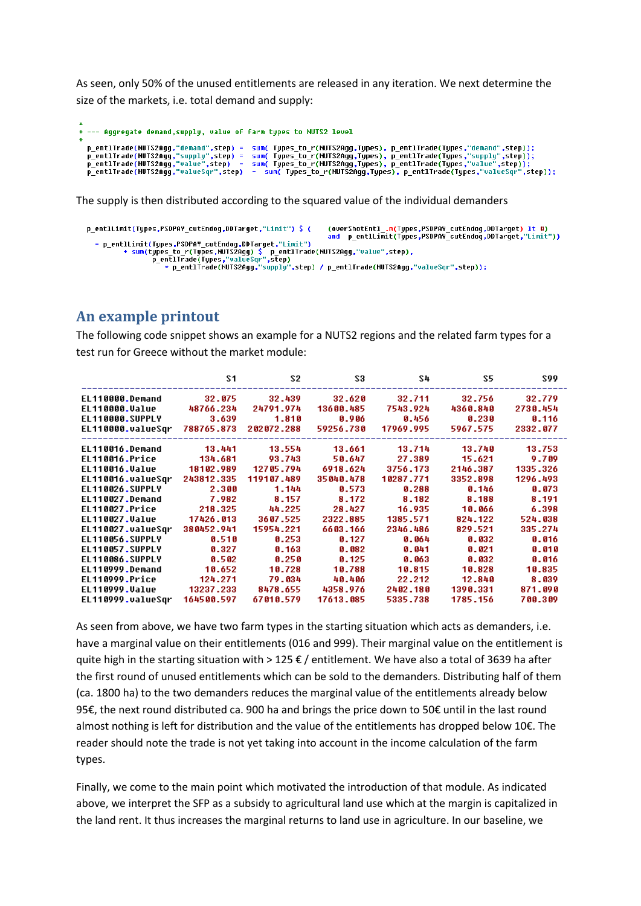As seen, only 50% of the unused entitlements are released in any iteration. We next determine the size of the markets, i.e. total demand and supply:

```
* --- Aggregate demand, supply, value of farm types to NUTS2 level
  p_entlTrade(NUTS2Agg,"demand",step) = sum( Types_to_r(NUTS2Agg,Types), p_entlTrade(Types,"demand",step));<br>p_entlTrade(NUTS2Agg,"supply",step) = sum( Types_to_r(NUTS2Agg,Types), p_entlTrade(Types,"supply",step));<br>p_entlTrad
```
The supply is then distributed according to the squared value of the individual demanders

```
p_entlLimit(Types,PSDPAY_cutEndog,DDTarget,"Limit") $ (
  = p_entlLimit(Types,PSDPAY_cutEndog,DDTarget,"Limit")<br>+ sum(types_to_r(Types,NUTS2Agg) $ p_entlTrade(NUTS2Agg,"value",step),<br>p_entlTrade(Types,"valueSqr",step)<br>+ p_entlTrade(NUTS2Agg,"supply",step) / p_entlTrade(NUTS2Agg
```
# **An example printout**

The following code snippet shows an example for a NUTS2 regions and the related farm types for a test run for Greece without the market module:

|                        | S <sub>1</sub> | S2         | S3        | S4        | S5       | S99      |
|------------------------|----------------|------------|-----------|-----------|----------|----------|
| EL110000.Demand        | 32.075         | 32.439     | 32.620    | 32.711    | 32.756   | 32.779   |
| EL110000.Value         | 48766.234      | 24791.974  | 13600.485 | 7543.924  | 4360.840 | 2730.454 |
| EL110000.SUPPLY        | 3.639          | 1.810      | 0.906     | 0.456     | 0.230    | 0.116    |
| EL110000.valueSqr      | 788765.873     | 202072.288 | 59256.730 | 17969.995 | 5967.575 | 2332.077 |
| EL110016.Demand        | 13.441         | 13.554     | 13.661    | 13.714    | 13.740   | 13.753   |
| EL110016.Price         | 134.681        | 93.743     | 50.647    | 27.389    | 15.621   | 9.709    |
| EL110016.Value         | 18102.989      | 12705.794  | 6918.624  | 3756.173  | 2146.387 | 1335.326 |
| EL110016.valueSqr      | 243812.335     | 119107.489 | 35040.478 | 10287.771 | 3352.898 | 1296.493 |
| EL110026.SUPPLY        | 2.300          | 1.144      | 0.573     | 0.288     | 0.146    | 0.073    |
| EL110027.Demand        | 7.982          | 8.157      | 8.172     | 8.182     | 8.188    | 8.191    |
| EL110027.Price         | 218.325        | 44.225     | 28.427    | 16.935    | 10.066   | 6.398    |
| <b>EL110027.Value</b>  | 17426.013      | 3607.525   | 2322.885  | 1385.571  | 824.122  | 524.038  |
| EL110027.valueSqr      | 380452.941     | 15954.221  | 6603.166  | 2346.486  | 829.521  | 335.274  |
| EL110056.SUPPLY        | 0.510          | 0.253      | 0.127     | 0.064     | 8.832    | 0.016    |
| EL110057.SUPPLY        | 0.327          | 0.163      | 0.082     | 0.041     | 0.021    | 0.010    |
| <b>EL110086.SUPPLY</b> | 0.502          | 0.250      | 0.125     | 0.063     | 0.032    | 0.016    |
| EL110999.Demand        | 10.652         | 10.728     | 10.788    | 10.815    | 10.828   | 10.835   |
| EL110999.Price         | 124.271        | 79.034     | 40.406    | 22.212    | 12.840   | 8.039    |
| <b>EL110999.Value</b>  | 13237.233      | 8478.655   | 4358.976  | 2402.180  | 1390.331 | 871.090  |
| EL110999.valueSgr      | 164500.597     | 67010.579  | 17613.085 | 5335.738  | 1785.156 | 700.309  |

As seen from above, we have two farm types in the starting situation which acts as demanders, i.e. have a marginal value on their entitlements (016 and 999). Their marginal value on the entitlement is quite high in the starting situation with > 125  $\epsilon$  / entitlement. We have also a total of 3639 ha after the first round of unused entitlements which can be sold to the demanders. Distributing half of them (ca. 1800 ha) to the two demanders reduces the marginal value of the entitlements already below 95€, the next round distributed ca. 900 ha and brings the price down to 50€ until in the last round almost nothing is left for distribution and the value of the entitlements has dropped below 10€. The reader should note the trade is not yet taking into account in the income calculation of the farm types.

Finally, we come to the main point which motivated the introduction of that module. As indicated above, we interpret the SFP as a subsidy to agricultural land use which at the margin is capitalized in the land rent. It thus increases the marginal returns to land use in agriculture. In our baseline, we